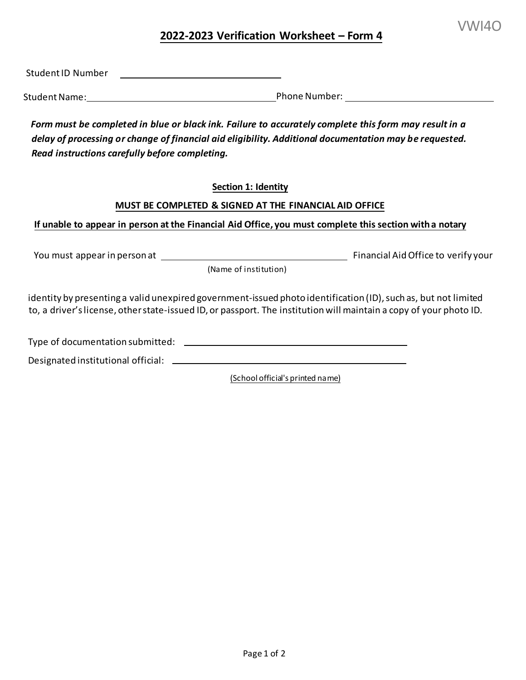# **2022-2023 Verification Worksheet – Form 4**

Student ID Number

Student Name: Phone Number:

*Form must be completed in blue or black ink. Failure to accurately complete this form may result in a delay of processing or change of financial aid eligibility. Additional documentation may be requested. Read instructions carefully before completing.* 

**Section <sup>1</sup>: Identity** 

## **MUST BE COMPLETED & SIGNED AT THE FINANCIAL AID OFFICE**

**If unable to appear in person at the Financial Aid Office, you must complete this section with a notary** 

You must appear in person at Financial Aid Office to verify your

(Name of institution)

 to, a driver's license, other state-issued ID,or passport. The institutionwill maintain a copy of your photo ID. identity by presenting a valid unexpired government-issued photo identification (ID), such as, but not limited

Type of documentation submitted:

Designated institutional official: \_\_\_\_\_\_\_\_\_\_

(School official's printed name)